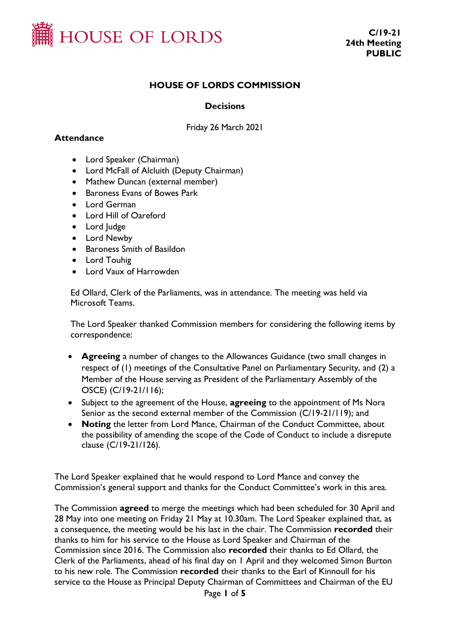

### **HOUSE OF LORDS COMMISSION**

#### **Decisions**

Friday 26 March 2021

#### **Attendance**

- Lord Speaker (Chairman)
- Lord McFall of Alcluith (Deputy Chairman)
- Mathew Duncan (external member)
- Baroness Evans of Bowes Park
- Lord German
- Lord Hill of Oareford
- Lord Judge
- Lord Newby
- Baroness Smith of Basildon
- Lord Touhig
- Lord Vaux of Harrowden

Ed Ollard, Clerk of the Parliaments, was in attendance. The meeting was held via Microsoft Teams.

The Lord Speaker thanked Commission members for considering the following items by correspondence:

- **Agreeing** a number of changes to the Allowances Guidance (two small changes in respect of (1) meetings of the Consultative Panel on Parliamentary Security, and (2) a Member of the House serving as President of the Parliamentary Assembly of the OSCE) (C/19-21/116);
- Subject to the agreement of the House, **agreeing** to the appointment of Ms Nora Senior as the second external member of the Commission (C/19-21/119); and
- **Noting** the letter from Lord Mance, Chairman of the Conduct Committee, about the possibility of amending the scope of the Code of Conduct to include a disrepute clause (C/19-21/126).

The Lord Speaker explained that he would respond to Lord Mance and convey the Commission's general support and thanks for the Conduct Committee's work in this area.

The Commission **agreed** to merge the meetings which had been scheduled for 30 April and 28 May into one meeting on Friday 21 May at 10.30am. The Lord Speaker explained that, as a consequence, the meeting would be his last in the chair. The Commission **recorded** their thanks to him for his service to the House as Lord Speaker and Chairman of the Commission since 2016. The Commission also **recorded** their thanks to Ed Ollard, the Clerk of the Parliaments, ahead of his final day on 1 April and they welcomed Simon Burton to his new role. The Commission **recorded** their thanks to the Earl of Kinnoull for his service to the House as Principal Deputy Chairman of Committees and Chairman of the EU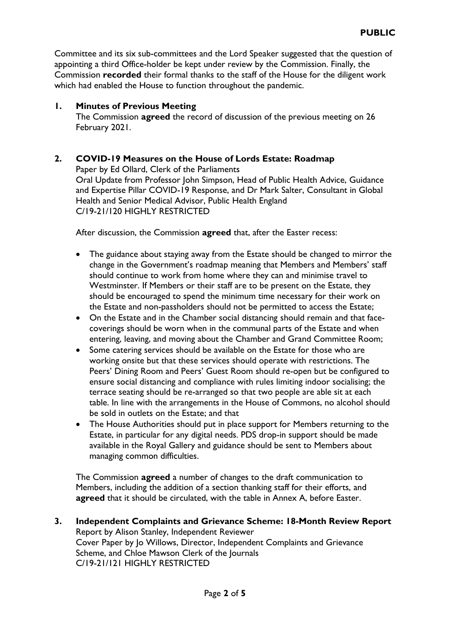Committee and its six sub-committees and the Lord Speaker suggested that the question of appointing a third Office-holder be kept under review by the Commission. Finally, the Commission **recorded** their formal thanks to the staff of the House for the diligent work which had enabled the House to function throughout the pandemic.

#### **1. Minutes of Previous Meeting**

The Commission **agreed** the record of discussion of the previous meeting on 26 February 2021.

## **2. COVID-19 Measures on the House of Lords Estate: Roadmap**

Paper by Ed Ollard, Clerk of the Parliaments Oral Update from Professor John Simpson, Head of Public Health Advice, Guidance and Expertise Pillar COVID-19 Response, and Dr Mark Salter, Consultant in Global Health and Senior Medical Advisor, Public Health England C/19-21/120 HIGHLY RESTRICTED

After discussion, the Commission **agreed** that, after the Easter recess:

- The guidance about staying away from the Estate should be changed to mirror the change in the Government's roadmap meaning that Members and Members' staff should continue to work from home where they can and minimise travel to Westminster. If Members or their staff are to be present on the Estate, they should be encouraged to spend the minimum time necessary for their work on the Estate and non-passholders should not be permitted to access the Estate;
- On the Estate and in the Chamber social distancing should remain and that facecoverings should be worn when in the communal parts of the Estate and when entering, leaving, and moving about the Chamber and Grand Committee Room;
- Some catering services should be available on the Estate for those who are working onsite but that these services should operate with restrictions. The Peers' Dining Room and Peers' Guest Room should re-open but be configured to ensure social distancing and compliance with rules limiting indoor socialising; the terrace seating should be re-arranged so that two people are able sit at each table. In line with the arrangements in the House of Commons, no alcohol should be sold in outlets on the Estate; and that
- The House Authorities should put in place support for Members returning to the Estate, in particular for any digital needs. PDS drop-in support should be made available in the Royal Gallery and guidance should be sent to Members about managing common difficulties.

The Commission **agreed** a number of changes to the draft communication to Members, including the addition of a section thanking staff for their efforts, and **agreed** that it should be circulated, with the table in Annex A, before Easter.

**3. Independent Complaints and Grievance Scheme: 18-Month Review Report**  Report by Alison Stanley, Independent Reviewer Cover Paper by Jo Willows, Director, Independent Complaints and Grievance Scheme, and Chloe Mawson Clerk of the Journals C/19-21/121 HIGHLY RESTRICTED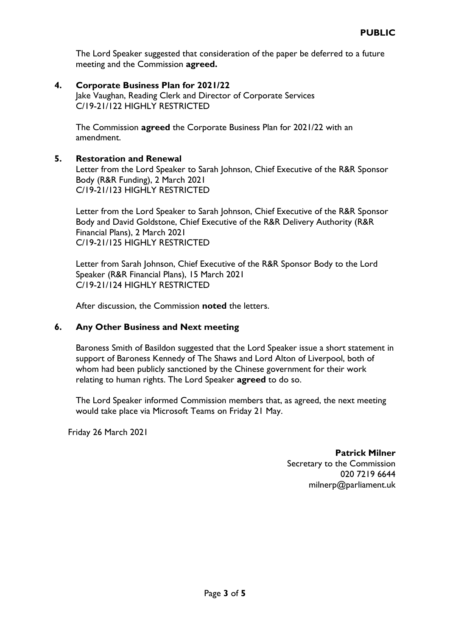The Lord Speaker suggested that consideration of the paper be deferred to a future meeting and the Commission **agreed.**

**4. Corporate Business Plan for 2021/22** Jake Vaughan, Reading Clerk and Director of Corporate Services C/19-21/122 HIGHLY RESTRICTED

The Commission **agreed** the Corporate Business Plan for 2021/22 with an amendment.

#### **5. Restoration and Renewal**

Letter from the Lord Speaker to Sarah Johnson, Chief Executive of the R&R Sponsor Body (R&R Funding), 2 March 2021 C/19-21/123 HIGHLY RESTRICTED

Letter from the Lord Speaker to Sarah Johnson, Chief Executive of the R&R Sponsor Body and David Goldstone, Chief Executive of the R&R Delivery Authority (R&R Financial Plans), 2 March 2021 C/19-21/125 HIGHLY RESTRICTED

Letter from Sarah Johnson, Chief Executive of the R&R Sponsor Body to the Lord Speaker (R&R Financial Plans), 15 March 2021 C/19-21/124 HIGHLY RESTRICTED

After discussion, the Commission **noted** the letters.

#### **6. Any Other Business and Next meeting**

Baroness Smith of Basildon suggested that the Lord Speaker issue a short statement in support of Baroness Kennedy of The Shaws and Lord Alton of Liverpool, both of whom had been publicly sanctioned by the Chinese government for their work relating to human rights. The Lord Speaker **agreed** to do so.

The Lord Speaker informed Commission members that, as agreed, the next meeting would take place via Microsoft Teams on Friday 21 May.

Friday 26 March 2021

#### **Patrick Milner** Secretary to the Commission 020 7219 6644 milnerp@parliament.uk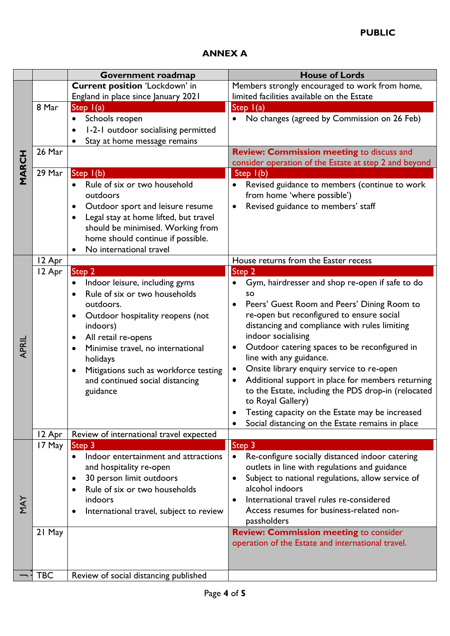# **ANNEX A**

|              |            | Government roadmap                                   | <b>House of Lords</b>                                    |
|--------------|------------|------------------------------------------------------|----------------------------------------------------------|
| <b>MARCH</b> |            | <b>Current position 'Lockdown' in</b>                | Members strongly encouraged to work from home,           |
|              |            | England in place since January 2021                  | limited facilities available on the Estate               |
|              | 8 Mar      | Step I(a)                                            | Step $I(a)$                                              |
|              |            | Schools reopen                                       | No changes (agreed by Commission on 26 Feb)              |
|              |            | 1-2-1 outdoor socialising permitted<br>$\bullet$     |                                                          |
|              |            | Stay at home message remains                         |                                                          |
|              | 26 Mar     |                                                      | <b>Review: Commission meeting to discuss and</b>         |
|              |            |                                                      | consider operation of the Estate at step 2 and beyond    |
|              | 29 Mar     | Step I(b)                                            | Step $I(b)$                                              |
|              |            | Rule of six or two household<br>$\bullet$            |                                                          |
|              |            | outdoors                                             | Revised guidance to members (continue to work            |
|              |            |                                                      | from home 'where possible')                              |
|              |            | Outdoor sport and leisure resume<br>$\bullet$        | Revised guidance to members' staff<br>$\bullet$          |
|              |            | Legal stay at home lifted, but travel<br>$\bullet$   |                                                          |
|              |            | should be minimised. Working from                    |                                                          |
|              |            | home should continue if possible.                    |                                                          |
|              |            | No international travel                              |                                                          |
|              | 12 Apr     |                                                      | House returns from the Easter recess                     |
|              | 12 Apr     | Step <sub>2</sub>                                    | Step 2                                                   |
|              |            | Indoor leisure, including gyms                       | Gym, hairdresser and shop re-open if safe to do          |
|              |            | Rule of six or two households                        | <b>SO</b>                                                |
|              |            | outdoors.                                            | Peers' Guest Room and Peers' Dining Room to<br>$\bullet$ |
|              |            | Outdoor hospitality reopens (not<br>$\bullet$        | re-open but reconfigured to ensure social                |
|              |            | indoors)                                             | distancing and compliance with rules limiting            |
|              |            | All retail re-opens<br>٠                             | indoor socialising                                       |
| APRIL        |            | Minimise travel, no international<br>$\bullet$       | Outdoor catering spaces to be reconfigured in            |
|              |            | holidays                                             | line with any guidance.                                  |
|              |            | Mitigations such as workforce testing<br>$\bullet$   | Onsite library enquiry service to re-open                |
|              |            | and continued social distancing                      | Additional support in place for members returning        |
|              |            | guidance                                             | to the Estate, including the PDS drop-in (relocated      |
|              |            |                                                      | to Royal Gallery)                                        |
|              |            |                                                      | Testing capacity on the Estate may be increased          |
|              |            |                                                      | Social distancing on the Estate remains in place         |
|              | 12 Apr     | Review of international travel expected              |                                                          |
|              | 17 May     | Step <sub>3</sub>                                    | Step 3                                                   |
|              |            | Indoor entertainment and attractions                 | Re-configure socially distanced indoor catering          |
|              |            | and hospitality re-open                              | outlets in line with regulations and guidance            |
|              |            | 30 person limit outdoors                             | Subject to national regulations, allow service of        |
|              |            |                                                      | alcohol indoors                                          |
|              |            | Rule of six or two households                        |                                                          |
| Ϋ́Ν          |            | indoors                                              | International travel rules re-considered                 |
|              |            | International travel, subject to review<br>$\bullet$ | Access resumes for business-related non-                 |
|              |            |                                                      | passholders                                              |
|              | 21 May     |                                                      | <b>Review: Commission meeting to consider</b>            |
|              |            |                                                      | operation of the Estate and international travel.        |
|              |            |                                                      |                                                          |
|              |            |                                                      |                                                          |
|              | <b>TBC</b> | Review of social distancing published                |                                                          |